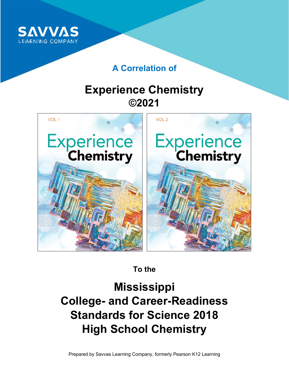

# **A Correlation of**

# **Experience Chemistry ©2021**



**To the**

**Mississippi College- and Career-Readiness Standards for Science 2018 High School Chemistry**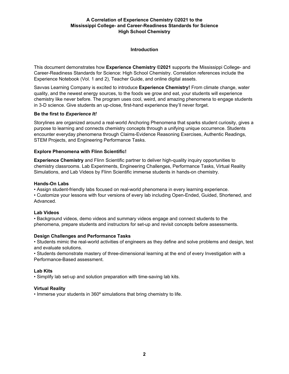#### **Introduction**

This document demonstrates how **Experience Chemistry ©2021** supports the Mississippi College- and Career-Readiness Standards for Science: High School Chemistry. Correlation references include the Experience Notebook (Vol. 1 and 2), Teacher Guide, and online digital assets.

Savvas Learning Company is excited to introduce **Experience Chemistry!** From climate change, water quality, and the newest energy sources, to the foods we grow and eat, your students will experience chemistry like never before. The program uses cool, weird, and amazing phenomena to engage students in 3-D science. Give students an up-close, first-hand experience they'll never forget.

#### **Be the first to** *Experience It!*

Storylines are organized around a real-world Anchoring Phenomena that sparks student curiosity, gives a purpose to learning and connects chemistry concepts through a unifying unique occurrence. Students encounter everyday phenomena through Claims-Evidence Reasoning Exercises, Authentic Readings, STEM Projects, and Engineering Performance Tasks.

#### **Explore Phenomena with Flinn Scientific!**

**Experience Chemistry** and Flinn Scientific partner to deliver high-quality inquiry opportunities to chemistry classrooms. Lab Experiments, Engineering Challenges, Performance Tasks, Virtual Reality Simulations, and Lab Videos by Flinn Scientific immerse students in hands-on chemistry.

#### **Hands-On Labs**

• Assign student-friendly labs focused on real-world phenomena in every learning experience.

• Customize your lessons with four versions of every lab including Open-Ended, Guided, Shortened, and Advanced.

#### **Lab Videos**

• Background videos, demo videos and summary videos engage and connect students to the phenomena, prepare students and instructors for set-up and revisit concepts before assessments.

#### **Design Challenges and Performance Tasks**

• Students mimic the real-world activities of engineers as they define and solve problems and design, test and evaluate solutions.

• Students demonstrate mastery of three-dimensional learning at the end of every Investigation with a Performance-Based assessment.

#### **Lab Kits**

• Simplify lab set-up and solution preparation with time-saving lab kits.

#### **Virtual Reality**

• Immerse your students in 360º simulations that bring chemistry to life.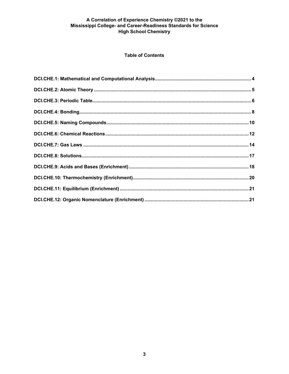# **Table of Contents**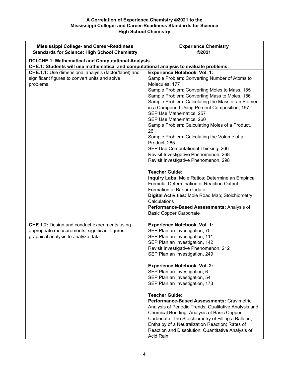| <b>Mississippi College- and Career-Readiness</b><br><b>Standards for Science: High School Chemistry</b>                                       | <b>Experience Chemistry</b><br>©2021                                                                                                                                                                                                                                                                                                                                                                                                                                                                                                                                                                                                                                                                                                                                               |
|-----------------------------------------------------------------------------------------------------------------------------------------------|------------------------------------------------------------------------------------------------------------------------------------------------------------------------------------------------------------------------------------------------------------------------------------------------------------------------------------------------------------------------------------------------------------------------------------------------------------------------------------------------------------------------------------------------------------------------------------------------------------------------------------------------------------------------------------------------------------------------------------------------------------------------------------|
| <b>DCI.CHE.1: Mathematical and Computational Analysis</b>                                                                                     |                                                                                                                                                                                                                                                                                                                                                                                                                                                                                                                                                                                                                                                                                                                                                                                    |
| CHE.1: Students will use mathematical and computational analysis to evaluate problems.                                                        |                                                                                                                                                                                                                                                                                                                                                                                                                                                                                                                                                                                                                                                                                                                                                                                    |
| CHE.1.1: Use dimensional analysis (factor/label) and<br>significant figures to convert units and solve<br>problems.                           | <b>Experience Notebook, Vol. 1:</b><br>Sample Problem: Converting Number of Atoms to<br>Molecules, 177<br>Sample Problem: Converting Moles to Mass, 185<br>Sample Problem: Converting Mass to Moles, 186<br>Sample Problem: Calculating the Mass of an Element<br>in a Compound Using Percent Composition, 197<br>SEP Use Mathematics, 257<br>SEP Use Mathematics, 260<br>Sample Problem: Calculating Moles of a Product,<br>261<br>Sample Problem: Calculating the Volume of a<br>Product, 265<br>SEP Use Computational Thinking, 266<br>Revisit Investigative Phenomenon, 268<br>Revisit Investigative Phenomenon, 298<br><b>Teacher Guide:</b><br>Inquiry Labs: Mole Ratios; Determine an Empirical<br>Formula; Determination of Reaction Output;<br>Formation of Barium Iodate |
|                                                                                                                                               | Digital Activities: Mole Road Map; Stoichiometry<br>Calculations<br>Performance-Based Assessments: Analysis of<br><b>Basic Copper Carbonate</b>                                                                                                                                                                                                                                                                                                                                                                                                                                                                                                                                                                                                                                    |
| <b>CHE.1.2:</b> Design and conduct experiments using<br>appropriate measurements, significant figures,<br>graphical analysis to analyze data. | <b>Experience Notebook, Vol. 1:</b><br>SEP Plan an Investigation, 75<br>SEP Plan an Investigation, 111<br>SEP Plan an Investigation, 142<br>Revisit Investigative Phenomenon, 212<br>SEP Plan an Investigation, 249<br><b>Experience Notebook, Vol. 2:</b><br>SEP Plan an Investigation, 6<br>SEP Plan an Investigation, 54<br>SEP Plan an Investigation, 173<br><b>Teacher Guide:</b><br><b>Performance-Based Assessments: Gravimetric</b><br>Analysis of Periodic Trends; Qualitative Analysis and<br>Chemical Bonding; Analysis of Basic Copper<br>Carbonate; The Stoichiometry of Filling a Balloon;<br>Enthalpy of a Neutralization Reaction; Rates of<br>Reaction and Dissolution; Quantitative Analysis of<br>Acid Rain                                                     |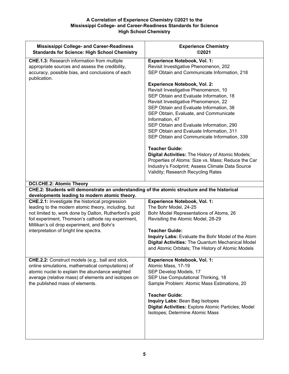| <b>Mississippi College- and Career-Readiness</b><br><b>Standards for Science: High School Chemistry</b>                                                                                                                                            | <b>Experience Chemistry</b><br>©2021                                                                                                                                                                                                                                  |
|----------------------------------------------------------------------------------------------------------------------------------------------------------------------------------------------------------------------------------------------------|-----------------------------------------------------------------------------------------------------------------------------------------------------------------------------------------------------------------------------------------------------------------------|
| <b>CHE.1.3: Research information from multiple</b><br>appropriate sources and assess the credibility,<br>accuracy, possible bias, and conclusions of each<br>publication.                                                                          | <b>Experience Notebook, Vol. 1:</b><br>Revisit Investigative Phenomenon, 202<br>SEP Obtain and Communicate Information, 218                                                                                                                                           |
|                                                                                                                                                                                                                                                    | <b>Experience Notebook, Vol. 2:</b><br>Revisit Investigative Phenomenon, 10<br>SEP Obtain and Evaluate Information, 18<br>Revisit Investigative Phenomenon, 22<br>SEP Obtain and Evaluate Information, 38<br>SEP Obtain, Evaluate, and Communicate<br>Information, 47 |
|                                                                                                                                                                                                                                                    | SEP Obtain and Evaluate Information, 290<br>SEP Obtain and Evaluate Information, 311<br>SEP Obtain and Communicate Information, 339                                                                                                                                   |
|                                                                                                                                                                                                                                                    | <b>Teacher Guide:</b><br>Digital Activities: The History of Atomic Models;<br>Properties of Atoms: Size vs. Mass; Reduce the Car<br>Industry's Footprint; Assess Climate Data Source<br>Validity; Research Recycling Rates                                            |
| <b>DCI.CHE.2: Atomic Theory</b>                                                                                                                                                                                                                    |                                                                                                                                                                                                                                                                       |
| CHE.2: Students will demonstrate an understanding of the atomic structure and the historical<br>developments leading to modern atomic theory.                                                                                                      |                                                                                                                                                                                                                                                                       |
| <b>CHE.2.1:</b> Investigate the historical progression                                                                                                                                                                                             | <b>Experience Notebook, Vol. 1:</b>                                                                                                                                                                                                                                   |
| leading to the modern atomic theory, including, but                                                                                                                                                                                                | The Bohr Model, 24-25                                                                                                                                                                                                                                                 |
| not limited to, work done by Dalton, Rutherford's gold<br>foil experiment, Thomson's cathode ray experiment,<br>Millikan's oil drop experiment, and Bohr's                                                                                         | Bohr Model Representations of Atoms, 26<br>Revisiting the Atomic Model, 28-29                                                                                                                                                                                         |
| interpretation of bright line spectra.                                                                                                                                                                                                             | <b>Teacher Guide:</b>                                                                                                                                                                                                                                                 |
|                                                                                                                                                                                                                                                    | Inquiry Labs: Evaluate the Bohr Model of the Atom<br><b>Digital Activities: The Quantum Mechanical Model</b><br>and Atomic Orbitals; The History of Atomic Models                                                                                                     |
| CHE.2.2: Construct models (e.g., ball and stick,<br>online simulations, mathematical computations) of<br>atomic nuclei to explain the abundance weighted<br>average (relative mass) of elements and isotopes on<br>the published mass of elements. | <b>Experience Notebook, Vol. 1:</b><br>Atomic Mass, 17-19<br>SEP Develop Models, 17<br>SEP Use Computational Thinking, 18<br>Sample Problem: Atomic Mass Estimations, 20                                                                                              |
|                                                                                                                                                                                                                                                    | <b>Teacher Guide:</b><br><b>Inquiry Labs: Bean Bag Isotopes</b><br>Digital Activities: Explore Atomic Particles; Model<br>Isotopes; Determine Atomic Mass                                                                                                             |
|                                                                                                                                                                                                                                                    |                                                                                                                                                                                                                                                                       |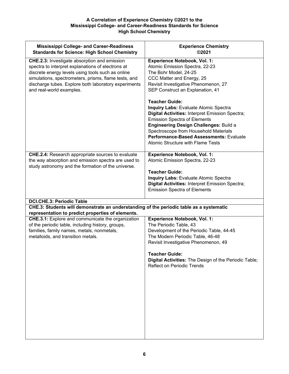| <b>Mississippi College- and Career-Readiness</b><br><b>Standards for Science: High School Chemistry</b>                                                                                                                                                                                                   | <b>Experience Chemistry</b><br>©2021                                                                                                                                                                                                                                                                                                      |
|-----------------------------------------------------------------------------------------------------------------------------------------------------------------------------------------------------------------------------------------------------------------------------------------------------------|-------------------------------------------------------------------------------------------------------------------------------------------------------------------------------------------------------------------------------------------------------------------------------------------------------------------------------------------|
| <b>CHE.2.3:</b> Investigate absorption and emission<br>spectra to interpret explanations of electrons at<br>discrete energy levels using tools such as online<br>simulations, spectrometers, prisms, flame tests, and<br>discharge tubes. Explore both laboratory experiments<br>and real-world examples. | <b>Experience Notebook, Vol. 1:</b><br>Atomic Emission Spectra, 22-23<br>The Bohr Model, 24-25<br>CCC Matter and Energy, 25<br>Revisit Investigative Phenomenon, 27<br>SEP Construct an Explanation, 41                                                                                                                                   |
|                                                                                                                                                                                                                                                                                                           | <b>Teacher Guide:</b><br><b>Inquiry Labs: Evaluate Atomic Spectra</b><br>Digital Activities: Interpret Emission Spectra;<br><b>Emission Spectra of Elements</b><br>Engineering Design Challenges: Build a<br>Spectroscope from Household Materials<br>Performance-Based Assessments: Evaluate<br><b>Atomic Structure with Flame Tests</b> |
| <b>CHE.2.4:</b> Research appropriate sources to evaluate<br>the way absorption and emission spectra are used to<br>study astronomy and the formation of the universe.                                                                                                                                     | <b>Experience Notebook, Vol. 1:</b><br>Atomic Emission Spectra, 22-23<br><b>Teacher Guide:</b><br><b>Inquiry Labs: Evaluate Atomic Spectra</b><br>Digital Activities: Interpret Emission Spectra;<br><b>Emission Spectra of Elements</b>                                                                                                  |
| <b>DCI.CHE.3: Periodic Table</b>                                                                                                                                                                                                                                                                          |                                                                                                                                                                                                                                                                                                                                           |
| CHE.3: Students will demonstrate an understanding of the periodic table as a systematic<br>representation to predict properties of elements.                                                                                                                                                              |                                                                                                                                                                                                                                                                                                                                           |
| <b>CHE.3.1:</b> Explore and communicate the organization<br>of the periodic table, including history, groups,<br>families, family names, metals, nonmetals,<br>metalloids, and transition metals.                                                                                                         | <b>Experience Notebook, Vol. 1:</b><br>The Periodic Table, 43<br>Development of the Periodic Table, 44-45<br>The Modern Periodic Table, 46-48<br>Revisit Investigative Phenomenon, 49<br><b>Teacher Guide:</b><br>Digital Activities: The Design of the Periodic Table;<br><b>Reflect on Periodic Trends</b>                              |
|                                                                                                                                                                                                                                                                                                           |                                                                                                                                                                                                                                                                                                                                           |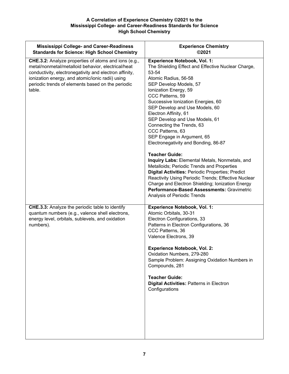| <b>Mississippi College- and Career-Readiness</b><br><b>Standards for Science: High School Chemistry</b>                                                                                                                                                                                 | <b>Experience Chemistry</b><br>©2021                                                                                                                                                                                                                                                                                                                                                                                                                                                                                                                                                                                                                                                                                                                                                                                             |
|-----------------------------------------------------------------------------------------------------------------------------------------------------------------------------------------------------------------------------------------------------------------------------------------|----------------------------------------------------------------------------------------------------------------------------------------------------------------------------------------------------------------------------------------------------------------------------------------------------------------------------------------------------------------------------------------------------------------------------------------------------------------------------------------------------------------------------------------------------------------------------------------------------------------------------------------------------------------------------------------------------------------------------------------------------------------------------------------------------------------------------------|
| CHE.3.2: Analyze properties of atoms and ions (e.g.,<br>metal/nonmetal/metalloid behavior, electrical/heat<br>conductivity, electronegativity and electron affinity,<br>ionization energy, and atomic/ionic radii) using<br>periodic trends of elements based on the periodic<br>table. | <b>Experience Notebook, Vol. 1:</b><br>The Shielding Effect and Effective Nuclear Charge,<br>53-54<br>Atomic Radius, 56-58<br>SEP Develop Models, 57<br>Ionization Energy, 59<br>CCC Patterns, 59<br>Successive Ionization Energies, 60<br>SEP Develop and Use Models, 60<br>Electron Affinity, 61<br>SEP Develop and Use Models, 61<br>Connecting the Trends, 63<br>CCC Patterns, 63<br>SEP Engage in Argument, 65<br>Electronegativity and Bonding, 86-87<br><b>Teacher Guide:</b><br>Inquiry Labs: Elemental Metals, Nonmetals, and<br>Metalloids; Periodic Trends and Properties<br>Digital Activities: Periodic Properties; Predict<br>Reactivity Using Periodic Trends; Effective Nuclear<br>Charge and Electron Shielding; Ionization Energy<br>Performance-Based Assessments: Gravimetric<br>Analysis of Periodic Trends |
| <b>CHE.3.3:</b> Analyze the periodic table to identify<br>quantum numbers (e.g., valence shell electrons,<br>energy level, orbitals, sublevels, and oxidation<br>numbers).                                                                                                              | <b>Experience Notebook, Vol. 1:</b><br>Atomic Orbitals, 30-31<br>Electron Configurations, 33<br>Patterns in Electron Configurations, 36<br>CCC Patterns, 36<br>Valence Electrons, 39<br><b>Experience Notebook, Vol. 2:</b><br>Oxidation Numbers, 279-280<br>Sample Problem: Assigning Oxidation Numbers in<br>Compounds, 281<br><b>Teacher Guide:</b><br><b>Digital Activities: Patterns in Electron</b><br>Configurations                                                                                                                                                                                                                                                                                                                                                                                                      |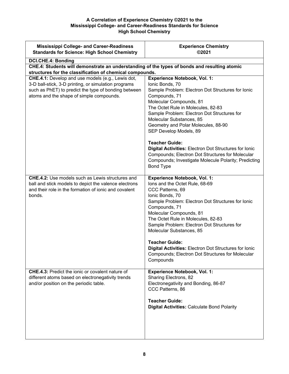| <b>Mississippi College- and Career-Readiness</b><br><b>Standards for Science: High School Chemistry</b>                                                                                                       | <b>Experience Chemistry</b><br>©2021                                                                                                                                                                                                                                                                                                                                                                                                                                                                                                                        |
|---------------------------------------------------------------------------------------------------------------------------------------------------------------------------------------------------------------|-------------------------------------------------------------------------------------------------------------------------------------------------------------------------------------------------------------------------------------------------------------------------------------------------------------------------------------------------------------------------------------------------------------------------------------------------------------------------------------------------------------------------------------------------------------|
| DCI.CHE.4: Bonding                                                                                                                                                                                            |                                                                                                                                                                                                                                                                                                                                                                                                                                                                                                                                                             |
| CHE.4: Students will demonstrate an understanding of the types of bonds and resulting atomic<br>structures for the classification of chemical compounds.                                                      |                                                                                                                                                                                                                                                                                                                                                                                                                                                                                                                                                             |
| CHE.4.1: Develop and use models (e.g., Lewis dot,<br>3-D ball-stick, 3-D printing, or simulation programs<br>such as PhET) to predict the type of bonding between<br>atoms and the shape of simple compounds. | <b>Experience Notebook, Vol. 1:</b><br>Ionic Bonds, 70<br>Sample Problem: Electron Dot Structures for Ionic<br>Compounds, 71<br>Molecular Compounds, 81<br>The Octet Rule in Molecules, 82-83<br>Sample Problem: Electron Dot Structures for<br>Molecular Substances, 85<br>Geometry and Polar Molecules, 88-90<br>SEP Develop Models, 89<br><b>Teacher Guide:</b><br>Digital Activities: Electron Dot Structures for Ionic<br>Compounds; Electron Dot Structures for Molecular<br>Compounds; Investigate Molecule Polarity; Predicting<br><b>Bond Type</b> |
| <b>CHE.4.2:</b> Use models such as Lewis structures and<br>ball and stick models to depict the valence electrons<br>and their role in the formation of ionic and covalent<br>bonds.                           | <b>Experience Notebook, Vol. 1:</b><br>lons and the Octet Rule, 68-69<br>CCC Patterns, 69<br>Ionic Bonds, 70<br>Sample Problem: Electron Dot Structures for Ionic<br>Compounds, 71<br>Molecular Compounds, 81<br>The Octet Rule in Molecules, 82-83<br>Sample Problem: Electron Dot Structures for<br>Molecular Substances, 85<br><b>Teacher Guide:</b><br><b>Digital Activities: Electron Dot Structures for lonic</b><br>Compounds; Electron Dot Structures for Molecular<br>Compounds                                                                    |
| <b>CHE.4.3:</b> Predict the ionic or covalent nature of<br>different atoms based on electronegativity trends<br>and/or position on the periodic table.                                                        | <b>Experience Notebook, Vol. 1:</b><br>Sharing Electrons, 82<br>Electronegativity and Bonding, 86-87<br>CCC Patterns, 86<br><b>Teacher Guide:</b><br><b>Digital Activities: Calculate Bond Polarity</b>                                                                                                                                                                                                                                                                                                                                                     |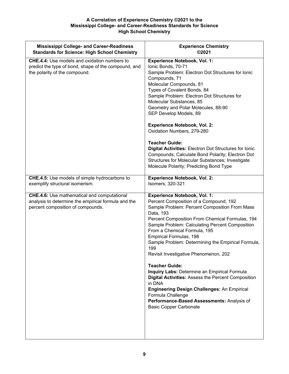| <b>Mississippi College- and Career-Readiness</b>                                                                                               | <b>Experience Chemistry</b>                                                                                                                                                                                                                                                                                                                                                                                                                                                                                                                                                                                                                                                                                                  |
|------------------------------------------------------------------------------------------------------------------------------------------------|------------------------------------------------------------------------------------------------------------------------------------------------------------------------------------------------------------------------------------------------------------------------------------------------------------------------------------------------------------------------------------------------------------------------------------------------------------------------------------------------------------------------------------------------------------------------------------------------------------------------------------------------------------------------------------------------------------------------------|
| <b>Standards for Science: High School Chemistry</b>                                                                                            | ©2021                                                                                                                                                                                                                                                                                                                                                                                                                                                                                                                                                                                                                                                                                                                        |
| <b>CHE.4.4:</b> Use models and oxidation numbers to<br>predict the type of bond, shape of the compound, and<br>the polarity of the compound.   | <b>Experience Notebook, Vol. 1:</b><br>Ionic Bonds, 70-71<br>Sample Problem: Electron Dot Structures for Ionic<br>Compounds, 71<br>Molecular Compounds, 81<br>Types of Covalent Bonds, 84<br>Sample Problem: Electron Dot Structures for<br>Molecular Substances, 85<br>Geometry and Polar Molecules, 88-90<br>SEP Develop Models, 89<br><b>Experience Notebook, Vol. 2:</b><br>Oxidation Numbers, 279-280<br><b>Teacher Guide:</b><br><b>Digital Activities: Electron Dot Structures for lonic</b><br>Compounds; Calculate Bond Polarity; Electron Dot<br>Structures for Molecular Substances; Investigate<br>Molecule Polarity; Predicting Bond Type                                                                       |
| <b>CHE.4.5:</b> Use models of simple hydrocarbons to                                                                                           | <b>Experience Notebook, Vol. 2:</b>                                                                                                                                                                                                                                                                                                                                                                                                                                                                                                                                                                                                                                                                                          |
| exemplify structural isomerism.                                                                                                                | Isomers, 320-321                                                                                                                                                                                                                                                                                                                                                                                                                                                                                                                                                                                                                                                                                                             |
| <b>CHE.4.6:</b> Use mathematical and computational<br>analysis to determine the empirical formula and the<br>percent composition of compounds. | <b>Experience Notebook, Vol. 1:</b><br>Percent Composition of a Compound, 192<br>Sample Problem: Percent Composition From Mass<br>Data, 193<br>Percent Composition From Chemical Formulas, 194<br>Sample Problem: Calculating Percent Composition<br>From a Chemical Formula, 195<br>Empirical Formulas, 198<br>Sample Problem: Determining the Empirical Formula,<br>199<br>Revisit Investigative Phenomenon, 202<br><b>Teacher Guide:</b><br><b>Inquiry Labs: Determine an Empirical Formula</b><br>Digital Activities: Assess the Percent Composition<br>in DNA<br><b>Engineering Design Challenges: An Empirical</b><br>Formula Challenge<br>Performance-Based Assessments: Analysis of<br><b>Basic Copper Carbonate</b> |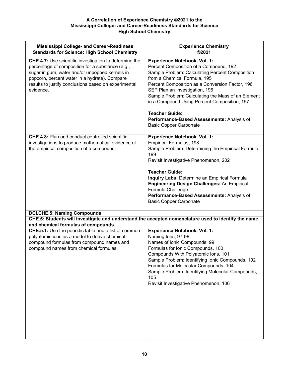| <b>Mississippi College- and Career-Readiness</b><br><b>Standards for Science: High School Chemistry</b>                                                                                                                                                                                   | <b>Experience Chemistry</b><br>©2021                                                                                                                                                                                                                                                                                                                                                                                                                                |
|-------------------------------------------------------------------------------------------------------------------------------------------------------------------------------------------------------------------------------------------------------------------------------------------|---------------------------------------------------------------------------------------------------------------------------------------------------------------------------------------------------------------------------------------------------------------------------------------------------------------------------------------------------------------------------------------------------------------------------------------------------------------------|
| <b>CHE.4.7:</b> Use scientific investigation to determine the<br>percentage of composition for a substance (e.g.,<br>sugar in gum, water and/or unpopped kernels in<br>popcorn, percent water in a hydrate). Compare<br>results to justify conclusions based on experimental<br>evidence. | <b>Experience Notebook, Vol. 1:</b><br>Percent Composition of a Compound, 192<br>Sample Problem: Calculating Percent Composition<br>from a Chemical Formula, 195<br>Percent Composition as a Conversion Factor, 196<br>SEP Plan an Investigation, 196<br>Sample Problem: Calculating the Mass of an Element<br>in a Compound Using Percent Composition, 197<br><b>Teacher Guide:</b><br>Performance-Based Assessments: Analysis of<br><b>Basic Copper Carbonate</b> |
| <b>CHE.4.8:</b> Plan and conduct controlled scientific<br>investigations to produce mathematical evidence of<br>the empirical composition of a compound.                                                                                                                                  | <b>Experience Notebook, Vol. 1:</b><br>Empirical Formulas, 198<br>Sample Problem: Determining the Empirical Formula,<br>199<br>Revisit Investigative Phenomenon, 202<br><b>Teacher Guide:</b><br>Inquiry Labs: Determine an Empirical Formula<br><b>Engineering Design Challenges: An Empirical</b><br>Formula Challenge<br>Performance-Based Assessments: Analysis of<br><b>Basic Copper Carbonate</b>                                                             |
| <b>DCI.CHE.5: Naming Compounds</b>                                                                                                                                                                                                                                                        |                                                                                                                                                                                                                                                                                                                                                                                                                                                                     |
| CHE.5: Students will investigate and understand the accepted nomenclature used to identify the name                                                                                                                                                                                       |                                                                                                                                                                                                                                                                                                                                                                                                                                                                     |
| and chemical formulas of compounds.<br>CHE.5.1: Use the periodic table and a list of common<br>polyatomic ions as a model to derive chemical<br>compound formulas from compound names and<br>compound names from chemical formulas.                                                       | <b>Experience Notebook, Vol. 1:</b><br>Naming lons, 97-98<br>Names of Ionic Compounds, 99<br>Formulas for Ionic Compounds, 100<br>Compounds With Polyatomic Ions, 101<br>Sample Problem: Identifying Ionic Compounds, 102<br>Formulas for Molecular Compounds, 104<br>Sample Problem: Identifying Molecular Compounds,<br>105<br>Revisit Investigative Phenomenon, 106                                                                                              |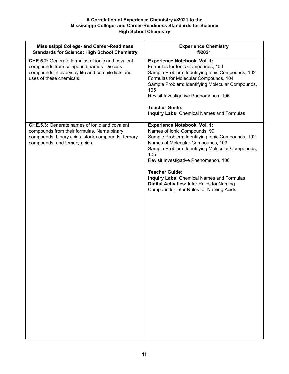| <b>Mississippi College- and Career-Readiness</b><br><b>Standards for Science: High School Chemistry</b>                                                                                  | <b>Experience Chemistry</b><br>©2021                                                                                                                                                                                                                                                                                                                                                                                                          |
|------------------------------------------------------------------------------------------------------------------------------------------------------------------------------------------|-----------------------------------------------------------------------------------------------------------------------------------------------------------------------------------------------------------------------------------------------------------------------------------------------------------------------------------------------------------------------------------------------------------------------------------------------|
| <b>CHE.5.2:</b> Generate formulas of ionic and covalent<br>compounds from compound names. Discuss<br>compounds in everyday life and compile lists and<br>uses of these chemicals.        | <b>Experience Notebook, Vol. 1:</b><br>Formulas for Ionic Compounds, 100<br>Sample Problem: Identifying Ionic Compounds, 102<br>Formulas for Molecular Compounds, 104<br>Sample Problem: Identifying Molecular Compounds,<br>105<br>Revisit Investigative Phenomenon, 106<br><b>Teacher Guide:</b><br><b>Inquiry Labs: Chemical Names and Formulas</b>                                                                                        |
| <b>CHE.5.3:</b> Generate names of ionic and covalent<br>compounds from their formulas. Name binary<br>compounds, binary acids, stock compounds, ternary<br>compounds, and ternary acids. | <b>Experience Notebook, Vol. 1:</b><br>Names of Ionic Compounds, 99<br>Sample Problem: Identifying Ionic Compounds, 102<br>Names of Molecular Compounds, 103<br>Sample Problem: Identifying Molecular Compounds,<br>105<br>Revisit Investigative Phenomenon, 106<br><b>Teacher Guide:</b><br><b>Inquiry Labs: Chemical Names and Formulas</b><br><b>Digital Activities: Infer Rules for Naming</b><br>Compounds; Infer Rules for Naming Acids |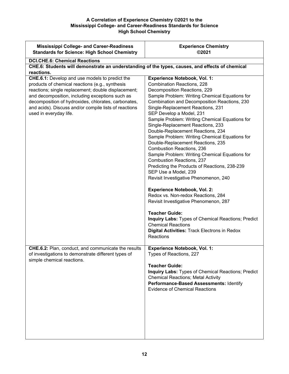| <b>Mississippi College- and Career-Readiness</b><br><b>Standards for Science: High School Chemistry</b>                                                                                                                                                                                                                                                                    | <b>Experience Chemistry</b><br>©2021                                                                                                                                                                                                                                                                                                                                                                                                                                                                                                                                                                                                                                                                                                                                                                                                                                                                                                                                                                                        |
|----------------------------------------------------------------------------------------------------------------------------------------------------------------------------------------------------------------------------------------------------------------------------------------------------------------------------------------------------------------------------|-----------------------------------------------------------------------------------------------------------------------------------------------------------------------------------------------------------------------------------------------------------------------------------------------------------------------------------------------------------------------------------------------------------------------------------------------------------------------------------------------------------------------------------------------------------------------------------------------------------------------------------------------------------------------------------------------------------------------------------------------------------------------------------------------------------------------------------------------------------------------------------------------------------------------------------------------------------------------------------------------------------------------------|
| <b>DCI.CHE.6: Chemical Reactions</b><br>CHE.6: Students will demonstrate an understanding of the types, causes, and effects of chemical                                                                                                                                                                                                                                    |                                                                                                                                                                                                                                                                                                                                                                                                                                                                                                                                                                                                                                                                                                                                                                                                                                                                                                                                                                                                                             |
| reactions.<br><b>CHE.6.1:</b> Develop and use models to predict the<br>products of chemical reactions (e.g., synthesis<br>reactions; single replacement; double displacement;<br>and decomposition, including exceptions such as<br>decomposition of hydroxides, chlorates, carbonates,<br>and acids). Discuss and/or compile lists of reactions<br>used in everyday life. | <b>Experience Notebook, Vol. 1:</b><br>Combination Reactions, 228<br>Decomposition Reactions, 229<br>Sample Problem: Writing Chemical Equations for<br>Combination and Decomposition Reactions, 230<br>Single-Replacement Reactions, 231<br>SEP Develop a Model, 231<br>Sample Problem: Writing Chemical Equations for<br>Single-Replacement Reactions, 233<br>Double-Replacement Reactions, 234<br>Sample Problem: Writing Chemical Equations for<br>Double-Replacement Reactions, 235<br>Combustion Reactions, 236<br>Sample Problem: Writing Chemical Equations for<br><b>Combustion Reactions, 237</b><br>Predicting the Products of Reactions, 238-239<br>SEP Use a Model, 239<br>Revisit Investigative Phenomenon, 240<br><b>Experience Notebook, Vol. 2:</b><br>Redox vs. Non-redox Reactions, 284<br>Revisit Investigative Phenomenon, 287<br><b>Teacher Guide:</b><br>Inquiry Labs: Types of Chemical Reactions; Predict<br><b>Chemical Reactions</b><br>Digital Activities: Track Electrons in Redox<br>Reactions |
| CHE.6.2: Plan, conduct, and communicate the results<br>of investigations to demonstrate different types of<br>simple chemical reactions.                                                                                                                                                                                                                                   | <b>Experience Notebook, Vol. 1:</b><br>Types of Reactions, 227<br><b>Teacher Guide:</b><br><b>Inquiry Labs: Types of Chemical Reactions; Predict</b><br><b>Chemical Reactions; Metal Activity</b><br>Performance-Based Assessments: Identify<br><b>Evidence of Chemical Reactions</b>                                                                                                                                                                                                                                                                                                                                                                                                                                                                                                                                                                                                                                                                                                                                       |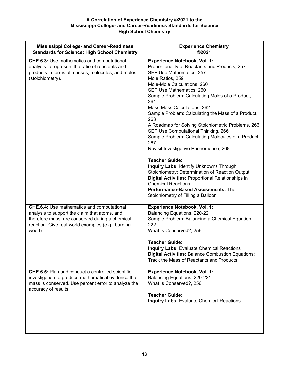| <b>Mississippi College- and Career-Readiness</b><br><b>Standards for Science: High School Chemistry</b>                                                                                                              | <b>Experience Chemistry</b><br>©2021                                                                                                                                                                                                                                                                                                                                                                                                                                                                                                                                                                                                                                                                                                                                                                                                                          |
|----------------------------------------------------------------------------------------------------------------------------------------------------------------------------------------------------------------------|---------------------------------------------------------------------------------------------------------------------------------------------------------------------------------------------------------------------------------------------------------------------------------------------------------------------------------------------------------------------------------------------------------------------------------------------------------------------------------------------------------------------------------------------------------------------------------------------------------------------------------------------------------------------------------------------------------------------------------------------------------------------------------------------------------------------------------------------------------------|
| <b>CHE.6.3:</b> Use mathematics and computational<br>analysis to represent the ratio of reactants and<br>products in terms of masses, molecules, and moles<br>(stoichiometry).                                       | <b>Experience Notebook, Vol. 1:</b><br>Proportionality of Reactants and Products, 257<br>SEP Use Mathematics, 257<br>Mole Ratios, 259<br>Mole-Mole Calculations, 260<br>SEP Use Mathematics, 260<br>Sample Problem: Calculating Moles of a Product,<br>261<br>Mass-Mass Calculations, 262<br>Sample Problem: Calculating the Mass of a Product,<br>263<br>A Roadmap for Solving Stoichiometric Problems, 266<br>SEP Use Computational Thinking, 266<br>Sample Problem: Calculating Molecules of a Product,<br>267<br>Revisit Investigative Phenomenon, 268<br><b>Teacher Guide:</b><br><b>Inquiry Labs: Identify Unknowns Through</b><br>Stoichiometry; Determination of Reaction Output<br><b>Digital Activities: Proportional Relationships in</b><br><b>Chemical Reactions</b><br>Performance-Based Assessments: The<br>Stoichiometry of Filling a Balloon |
| <b>CHE.6.4:</b> Use mathematics and computational<br>analysis to support the claim that atoms, and<br>therefore mass, are conserved during a chemical<br>reaction. Give real-world examples (e.g., burning<br>wood). | <b>Experience Notebook, Vol. 1:</b><br>Balancing Equations, 220-221<br>Sample Problem: Balancing a Chemical Equation,<br>222<br>What Is Conserved?, 256<br><b>Teacher Guide:</b><br><b>Inquiry Labs: Evaluate Chemical Reactions</b><br><b>Digital Activities: Balance Combustion Equations;</b><br>Track the Mass of Reactants and Products                                                                                                                                                                                                                                                                                                                                                                                                                                                                                                                  |
| <b>CHE.6.5:</b> Plan and conduct a controlled scientific<br>investigation to produce mathematical evidence that<br>mass is conserved. Use percent error to analyze the<br>accuracy of results.                       | <b>Experience Notebook, Vol. 1:</b><br>Balancing Equations, 220-221<br>What Is Conserved?, 256<br><b>Teacher Guide:</b><br><b>Inquiry Labs: Evaluate Chemical Reactions</b>                                                                                                                                                                                                                                                                                                                                                                                                                                                                                                                                                                                                                                                                                   |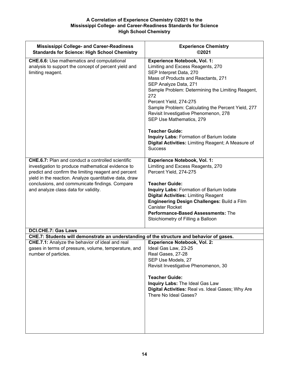| <b>Mississippi College- and Career-Readiness</b><br><b>Standards for Science: High School Chemistry</b>                                                                                                                                                                                                                   | <b>Experience Chemistry</b><br>©2021                                                                                                                                                                                                                                                                                                                                                                                                                                                                                              |
|---------------------------------------------------------------------------------------------------------------------------------------------------------------------------------------------------------------------------------------------------------------------------------------------------------------------------|-----------------------------------------------------------------------------------------------------------------------------------------------------------------------------------------------------------------------------------------------------------------------------------------------------------------------------------------------------------------------------------------------------------------------------------------------------------------------------------------------------------------------------------|
| <b>CHE.6.6:</b> Use mathematics and computational<br>analysis to support the concept of percent yield and<br>limiting reagent.                                                                                                                                                                                            | <b>Experience Notebook, Vol. 1:</b><br>Limiting and Excess Reagents, 270<br>SEP Interpret Data, 270<br>Mass of Products and Reactants, 271<br>SEP Analyze Data, 271<br>Sample Problem: Determining the Limiting Reagent,<br>272<br>Percent Yield, 274-275<br>Sample Problem: Calculating the Percent Yield, 277<br>Revisit Investigative Phenomenon, 278<br>SEP Use Mathematics, 279<br><b>Teacher Guide:</b><br>Inquiry Labs: Formation of Barium Iodate<br>Digital Activities: Limiting Reagent; A Measure of<br><b>Success</b> |
| <b>CHE.6.7:</b> Plan and conduct a controlled scientific<br>investigation to produce mathematical evidence to<br>predict and confirm the limiting reagent and percent<br>yield in the reaction. Analyze quantitative data, draw<br>conclusions, and communicate findings. Compare<br>and analyze class data for validity. | <b>Experience Notebook, Vol. 1:</b><br>Limiting and Excess Reagents, 270<br>Percent Yield, 274-275<br><b>Teacher Guide:</b><br><b>Inquiry Labs: Formation of Barium lodate</b><br><b>Digital Activities: Limiting Reagent</b><br>Engineering Design Challenges: Build a Film<br><b>Canister Rocket</b><br>Performance-Based Assessments: The<br>Stoichiometry of Filling a Balloon                                                                                                                                                |
| <b>DCI.CHE.7: Gas Laws</b>                                                                                                                                                                                                                                                                                                |                                                                                                                                                                                                                                                                                                                                                                                                                                                                                                                                   |
| CHE.7: Students will demonstrate an understanding of the structure and behavior of gases.<br>CHE.7.1: Analyze the behavior of ideal and real<br>gases in terms of pressure, volume, temperature, and<br>number of particles.                                                                                              | <b>Experience Notebook, Vol. 2:</b><br>Ideal Gas Law, 23-25<br>Real Gases, 27-28<br>SEP Use Models, 27<br>Revisit Investigative Phenomenon, 30<br><b>Teacher Guide:</b><br>Inquiry Labs: The Ideal Gas Law<br>Digital Activities: Real vs. Ideal Gases; Why Are<br>There No Ideal Gases?                                                                                                                                                                                                                                          |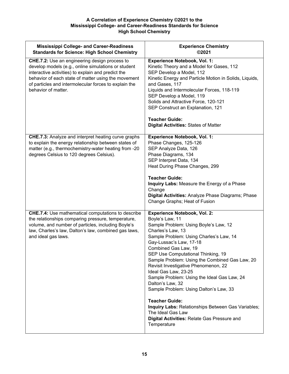| <b>Mississippi College- and Career-Readiness</b><br><b>Standards for Science: High School Chemistry</b>                                                                                                                                                                                                  | <b>Experience Chemistry</b><br>©2021                                                                                                                                                                                                                                                                                                                                                                                                                                                                                                                                                                                                                      |
|----------------------------------------------------------------------------------------------------------------------------------------------------------------------------------------------------------------------------------------------------------------------------------------------------------|-----------------------------------------------------------------------------------------------------------------------------------------------------------------------------------------------------------------------------------------------------------------------------------------------------------------------------------------------------------------------------------------------------------------------------------------------------------------------------------------------------------------------------------------------------------------------------------------------------------------------------------------------------------|
| <b>CHE.7.2:</b> Use an engineering design process to<br>develop models (e.g., online simulations or student<br>interactive activities) to explain and predict the<br>behavior of each state of matter using the movement<br>of particles and intermolecular forces to explain the<br>behavior of matter. | <b>Experience Notebook, Vol. 1:</b><br>Kinetic Theory and a Model for Gases, 112<br>SEP Develop a Model, 112<br>Kinetic Energy and Particle Motion in Solids, Liquids,<br>and Gases, 117<br>Liquids and Intermolecular Forces, 118-119<br>SEP Develop a Model, 119<br>Solids and Attractive Force, 120-121<br>SEP Construct an Explanation, 121<br><b>Teacher Guide:</b><br><b>Digital Activities: States of Matter</b>                                                                                                                                                                                                                                   |
| <b>CHE.7.3:</b> Analyze and interpret heating curve graphs<br>to explain the energy relationship between states of<br>matter (e.g., thermochemistry-water heating from -20<br>degrees Celsius to 120 degrees Celsius).                                                                                   | Experience Notebook, Vol. 1:<br>Phase Changes, 125-126<br>SEP Analyze Data, 126<br>Phase Diagrams, 134<br>SEP Interpret Data, 134<br>Heat During Phase Changes, 299<br><b>Teacher Guide:</b><br>Inquiry Labs: Measure the Energy of a Phase<br>Change<br>Digital Activities: Analyze Phase Diagrams; Phase<br>Change Graphs; Heat of Fusion                                                                                                                                                                                                                                                                                                               |
| <b>CHE.7.4:</b> Use mathematical computations to describe<br>the relationships comparing pressure, temperature,<br>volume, and number of particles, including Boyle's<br>law, Charles's law, Dalton's law, combined gas laws,<br>and ideal gas laws.                                                     | <b>Experience Notebook, Vol. 2:</b><br>Boyle's Law, 11<br>Sample Problem: Using Boyle's Law, 12<br>Charles's Law, 13<br>Sample Problem: Using Charles's Law, 14<br>Gay-Lussac's Law, 17-18<br>Combined Gas Law, 19<br>SEP Use Computational Thinking, 19<br>Sample Problem: Using the Combined Gas Law, 20<br>Revisit Investigative Phenomenon, 22<br>Ideal Gas Law, 23-25<br>Sample Problem: Using the Ideal Gas Law, 24<br>Dalton's Law, 32<br>Sample Problem: Using Dalton's Law, 33<br><b>Teacher Guide:</b><br>Inquiry Labs: Relationships Between Gas Variables;<br>The Ideal Gas Law<br>Digital Activities: Relate Gas Pressure and<br>Temperature |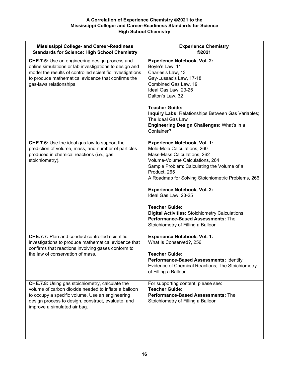| <b>Mississippi College- and Career-Readiness</b><br><b>Standards for Science: High School Chemistry</b>                                                                                                                                                 | <b>Experience Chemistry</b><br>©2021                                                                                                                                                                                                                                                                                                                                                                                                                                                   |
|---------------------------------------------------------------------------------------------------------------------------------------------------------------------------------------------------------------------------------------------------------|----------------------------------------------------------------------------------------------------------------------------------------------------------------------------------------------------------------------------------------------------------------------------------------------------------------------------------------------------------------------------------------------------------------------------------------------------------------------------------------|
| CHE.7.5: Use an engineering design process and<br>online simulations or lab investigations to design and<br>model the results of controlled scientific investigations<br>to produce mathematical evidence that confirms the<br>gas-laws relationships.  | <b>Experience Notebook, Vol. 2:</b><br>Boyle's Law, 11<br>Charles's Law, 13<br>Gay-Lussac's Law, 17-18<br>Combined Gas Law, 19<br>Ideal Gas Law, 23-25<br>Dalton's Law, 32<br><b>Teacher Guide:</b><br>Inquiry Labs: Relationships Between Gas Variables;<br>The Ideal Gas Law<br>Engineering Design Challenges: What's in a<br>Container?                                                                                                                                             |
| CHE.7.6: Use the ideal gas law to support the<br>prediction of volume, mass, and number of particles<br>produced in chemical reactions (i.e., gas<br>stoichiometry).                                                                                    | <b>Experience Notebook, Vol. 1:</b><br>Mole-Mole Calculations, 260<br>Mass-Mass Calculations, 262<br>Volume-Volume Calculations, 264<br>Sample Problem: Calculating the Volume of a<br>Product, 265<br>A Roadmap for Solving Stoichiometric Problems, 266<br><b>Experience Notebook, Vol. 2:</b><br>Ideal Gas Law, 23-25<br><b>Teacher Guide:</b><br><b>Digital Activities: Stoichiometry Calculations</b><br>Performance-Based Assessments: The<br>Stoichiometry of Filling a Balloon |
| <b>CHE.7.7:</b> Plan and conduct controlled scientific<br>investigations to produce mathematical evidence that<br>confirms that reactions involving gases conform to<br>the law of conservation of mass.                                                | <b>Experience Notebook, Vol. 1:</b><br>What Is Conserved?, 256<br><b>Teacher Guide:</b><br>Performance-Based Assessments: Identify<br>Evidence of Chemical Reactions; The Stoichiometry<br>of Filling a Balloon                                                                                                                                                                                                                                                                        |
| <b>CHE.7.8:</b> Using gas stoichiometry, calculate the<br>volume of carbon dioxide needed to inflate a balloon<br>to occupy a specific volume. Use an engineering<br>design process to design, construct, evaluate, and<br>improve a simulated air bag. | For supporting content, please see:<br><b>Teacher Guide:</b><br>Performance-Based Assessments: The<br>Stoichiometry of Filling a Balloon                                                                                                                                                                                                                                                                                                                                               |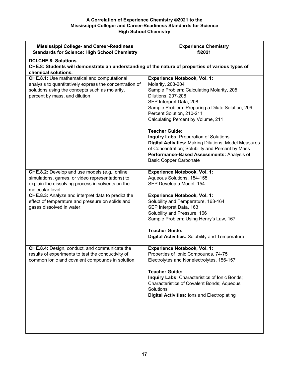| <b>Mississippi College- and Career-Readiness</b><br><b>Standards for Science: High School Chemistry</b>                                                                                           | <b>Experience Chemistry</b><br>©2021                                                                                                                                                                                                                                                                                |
|---------------------------------------------------------------------------------------------------------------------------------------------------------------------------------------------------|---------------------------------------------------------------------------------------------------------------------------------------------------------------------------------------------------------------------------------------------------------------------------------------------------------------------|
| <b>DCI.CHE.8: Solutions</b><br>CHE.8: Students will demonstrate an understanding of the nature of properties of various types of<br>chemical solutions.                                           |                                                                                                                                                                                                                                                                                                                     |
| <b>CHE.8.1:</b> Use mathematical and computational<br>analysis to quantitatively express the concentration of<br>solutions using the concepts such as molarity,<br>percent by mass, and dilution. | <b>Experience Notebook, Vol. 1:</b><br>Molarity, 203-204<br>Sample Problem: Calculating Molarity, 205<br>Dilutions, 207-208<br>SEP Interpret Data, 208<br>Sample Problem: Preparing a Dilute Solution, 209<br>Percent Solution, 210-211<br>Calculating Percent by Volume, 211<br><b>Teacher Guide:</b>              |
|                                                                                                                                                                                                   | <b>Inquiry Labs: Preparation of Solutions</b><br><b>Digital Activities: Making Dilutions; Model Measures</b><br>of Concentration; Solubility and Percent by Mass<br>Performance-Based Assessments: Analysis of<br><b>Basic Copper Carbonate</b>                                                                     |
| CHE.8.2: Develop and use models (e.g., online<br>simulations, games, or video representations) to<br>explain the dissolving process in solvents on the<br>molecular level.                        | <b>Experience Notebook, Vol. 1:</b><br>Aqueous Solutions, 154-155<br>SEP Develop a Model, 154                                                                                                                                                                                                                       |
| CHE.8.3: Analyze and interpret data to predict the<br>effect of temperature and pressure on solids and<br>gases dissolved in water.                                                               | <b>Experience Notebook, Vol. 1:</b><br>Solubility and Temperature, 163-164<br>SEP Interpret Data, 163<br>Solubility and Pressure, 166<br>Sample Problem: Using Henry's Law, 167<br><b>Teacher Guide:</b><br><b>Digital Activities: Solubility and Temperature</b>                                                   |
| CHE.8.4: Design, conduct, and communicate the<br>results of experiments to test the conductivity of<br>common ionic and covalent compounds in solution.                                           | <b>Experience Notebook, Vol. 1:</b><br>Properties of Ionic Compounds, 74-75<br>Electrolytes and Nonelectrolytes, 156-157<br><b>Teacher Guide:</b><br>Inquiry Labs: Characteristics of Ionic Bonds;<br>Characteristics of Covalent Bonds; Aqueous<br>Solutions<br><b>Digital Activities: lons and Electroplating</b> |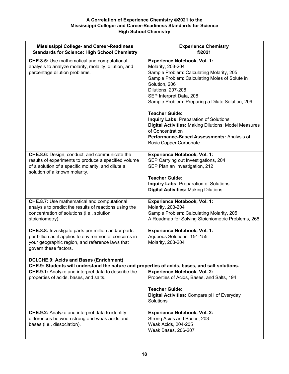| <b>Mississippi College- and Career-Readiness</b><br><b>Standards for Science: High School Chemistry</b>                                                                                      | <b>Experience Chemistry</b><br>©2021                                                                                                                                                                                                                                                                                                                                                                                                                                                                                      |
|----------------------------------------------------------------------------------------------------------------------------------------------------------------------------------------------|---------------------------------------------------------------------------------------------------------------------------------------------------------------------------------------------------------------------------------------------------------------------------------------------------------------------------------------------------------------------------------------------------------------------------------------------------------------------------------------------------------------------------|
| <b>CHE.8.5:</b> Use mathematical and computational<br>analysis to analyze molarity, molality, dilution, and<br>percentage dilution problems.                                                 | <b>Experience Notebook, Vol. 1:</b><br>Molarity, 203-204<br>Sample Problem: Calculating Molarity, 205<br>Sample Problem: Calculating Moles of Solute in<br>Solution, 206<br>Dilutions, 207-208<br>SEP Interpret Data, 208<br>Sample Problem: Preparing a Dilute Solution, 209<br><b>Teacher Guide:</b><br><b>Inquiry Labs: Preparation of Solutions</b><br><b>Digital Activities: Making Dilutions; Model Measures</b><br>of Concentration<br>Performance-Based Assessments: Analysis of<br><b>Basic Copper Carbonate</b> |
| CHE.8.6: Design, conduct, and communicate the<br>results of experiments to produce a specified volume<br>of a solution of a specific molarity, and dilute a<br>solution of a known molarity. | <b>Experience Notebook, Vol. 1:</b><br>SEP Carrying out Investigations, 204<br>SEP Plan an Investigation, 212<br><b>Teacher Guide:</b><br><b>Inquiry Labs: Preparation of Solutions</b><br><b>Digital Activities: Making Dilutions</b>                                                                                                                                                                                                                                                                                    |
| <b>CHE.8.7:</b> Use mathematical and computational<br>analysis to predict the results of reactions using the<br>concentration of solutions (i.e., solution<br>stoichiometry).                | <b>Experience Notebook, Vol. 1:</b><br>Molarity, 203-204<br>Sample Problem: Calculating Molarity, 205<br>A Roadmap for Solving Stoichiometric Problems, 266                                                                                                                                                                                                                                                                                                                                                               |
| CHE.8.8: Investigate parts per million and/or parts<br>per billion as it applies to environmental concerns in<br>your geographic region, and reference laws that<br>govern these factors.    | <b>Experience Notebook, Vol. 1:</b><br>Aqueous Solutions, 154-155<br>Molarity, 203-204                                                                                                                                                                                                                                                                                                                                                                                                                                    |
| <b>DCI.CHE.9: Acids and Bases (Enrichment)</b><br>CHE.9: Students will understand the nature and properties of acids, bases, and salt solutions.                                             |                                                                                                                                                                                                                                                                                                                                                                                                                                                                                                                           |
| CHE.9.1: Analyze and interpret data to describe the<br>properties of acids, bases, and salts.                                                                                                | <b>Experience Notebook, Vol. 2:</b><br>Properties of Acids, Bases, and Salts, 194<br><b>Teacher Guide:</b><br>Digital Activities: Compare pH of Everyday<br>Solutions                                                                                                                                                                                                                                                                                                                                                     |
| <b>CHE.9.2:</b> Analyze and interpret data to identify<br>differences between strong and weak acids and<br>bases (i.e., dissociation).                                                       | <b>Experience Notebook, Vol. 2:</b><br>Strong Acids and Bases, 203<br>Weak Acids, 204-205<br>Weak Bases, 206-207                                                                                                                                                                                                                                                                                                                                                                                                          |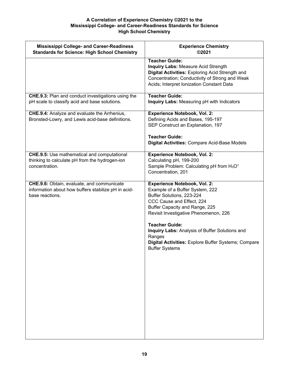| <b>Mississippi College- and Career-Readiness</b><br><b>Standards for Science: High School Chemistry</b>                | <b>Experience Chemistry</b><br>©2021                                                                                                                                                                                                                                                                                                                                             |
|------------------------------------------------------------------------------------------------------------------------|----------------------------------------------------------------------------------------------------------------------------------------------------------------------------------------------------------------------------------------------------------------------------------------------------------------------------------------------------------------------------------|
|                                                                                                                        | <b>Teacher Guide:</b><br><b>Inquiry Labs: Measure Acid Strength</b><br>Digital Activities: Exploring Acid Strength and<br>Concentration; Conductivity of Strong and Weak<br>Acids; Interpret Ionization Constant Data                                                                                                                                                            |
| <b>CHE.9.3:</b> Plan and conduct investigations using the<br>pH scale to classify acid and base solutions.             | Teacher Guide:<br>Inquiry Labs: Measuring pH with Indicators                                                                                                                                                                                                                                                                                                                     |
| <b>CHE.9.4:</b> Analyze and evaluate the Arrhenius,<br>Bronsted-Lowry, and Lewis acid-base definitions.                | <b>Experience Notebook, Vol. 2:</b><br>Defining Acids and Bases, 195-197<br>SEP Construct an Explanation, 197<br><b>Teacher Guide:</b><br><b>Digital Activities: Compare Acid-Base Models</b>                                                                                                                                                                                    |
| <b>CHE.9.5:</b> Use mathematical and computational<br>thinking to calculate pH from the hydrogen-ion<br>concentration. | <b>Experience Notebook, Vol. 2:</b><br>Calculating pH, 199-200<br>Sample Problem: Calculating pH from H <sub>3</sub> O <sup>+</sup><br>Concentration, 201                                                                                                                                                                                                                        |
| CHE.9.6: Obtain, evaluate, and communicate<br>information about how buffers stabilize pH in acid-<br>base reactions.   | <b>Experience Notebook, Vol. 2:</b><br>Example of a Buffer System, 222<br>Buffer Solutions, 223-224<br>CCC Cause and Effect, 224<br>Buffer Capacity and Range, 225<br>Revisit Investigative Phenomenon, 226<br><b>Teacher Guide:</b><br>Inquiry Labs: Analysis of Buffer Solutions and<br>Ranges<br>Digital Activities: Explore Buffer Systems; Compare<br><b>Buffer Systems</b> |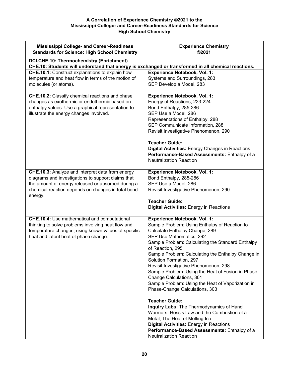| <b>Mississippi College- and Career-Readiness</b><br><b>Standards for Science: High School Chemistry</b>                                                                                                                              | <b>Experience Chemistry</b><br>©2021                                                                                                                                                                                                                                                                                                                                                                                                                                                                                                                                                                                                                                                                                                                                                                                     |
|--------------------------------------------------------------------------------------------------------------------------------------------------------------------------------------------------------------------------------------|--------------------------------------------------------------------------------------------------------------------------------------------------------------------------------------------------------------------------------------------------------------------------------------------------------------------------------------------------------------------------------------------------------------------------------------------------------------------------------------------------------------------------------------------------------------------------------------------------------------------------------------------------------------------------------------------------------------------------------------------------------------------------------------------------------------------------|
| DCI.CHE.10: Thermochemistry (Enrichment)                                                                                                                                                                                             |                                                                                                                                                                                                                                                                                                                                                                                                                                                                                                                                                                                                                                                                                                                                                                                                                          |
| CHE.10: Students will understand that energy is exchanged or transformed in all chemical reactions.                                                                                                                                  |                                                                                                                                                                                                                                                                                                                                                                                                                                                                                                                                                                                                                                                                                                                                                                                                                          |
| CHE.10.1: Construct explanations to explain how<br>temperature and heat flow in terms of the motion of<br>molecules (or atoms).                                                                                                      | <b>Experience Notebook, Vol. 1:</b><br>Systems and Surroundings, 283<br>SEP Develop a Model, 283                                                                                                                                                                                                                                                                                                                                                                                                                                                                                                                                                                                                                                                                                                                         |
| CHE.10.2: Classify chemical reactions and phase<br>changes as exothermic or endothermic based on<br>enthalpy values. Use a graphical representation to<br>illustrate the energy changes involved.                                    | <b>Experience Notebook, Vol. 1:</b><br>Energy of Reactions, 223-224<br>Bond Enthalpy, 285-286<br>SEP Use a Model, 286<br>Representations of Enthalpy, 288<br>SEP Communicate Information, 288<br>Revisit Investigative Phenomenon, 290<br><b>Teacher Guide:</b><br><b>Digital Activities: Energy Changes in Reactions</b><br>Performance-Based Assessments: Enthalpy of a<br><b>Neutralization Reaction</b>                                                                                                                                                                                                                                                                                                                                                                                                              |
| <b>CHE.10.3:</b> Analyze and interpret data from energy<br>diagrams and investigations to support claims that<br>the amount of energy released or absorbed during a<br>chemical reaction depends on changes in total bond<br>energy. | <b>Experience Notebook, Vol. 1:</b><br>Bond Enthalpy, 285-286<br>SEP Use a Model, 286<br>Revisit Investigative Phenomenon, 290<br><b>Teacher Guide:</b><br><b>Digital Activities: Energy in Reactions</b>                                                                                                                                                                                                                                                                                                                                                                                                                                                                                                                                                                                                                |
| <b>CHE.10.4:</b> Use mathematical and computational<br>thinking to solve problems involving heat flow and<br>temperature changes, using known values of specific<br>heat and latent heat of phase change.                            | <b>Experience Notebook, Vol. 1:</b><br>Sample Problem: Using Enthalpy of Reaction to<br>Calculate Enthalpy Change, 289<br>SEP Use Mathematics, 292<br>Sample Problem: Calculating the Standard Enthalpy<br>of Reaction, 295<br>Sample Problem: Calculating the Enthalpy Change in<br>Solution Formation, 297<br>Revisit Investigative Phenomenon, 298<br>Sample Problem: Using the Heat of Fusion in Phase-<br>Change Calculations, 301<br>Sample Problem: Using the Heat of Vaporization in<br>Phase-Change Calculations, 303<br><b>Teacher Guide:</b><br>Inquiry Labs: The Thermodynamics of Hand<br>Warmers; Hess's Law and the Combustion of a<br>Metal; The Heat of Melting Ice<br><b>Digital Activities:</b> Energy in Reactions<br>Performance-Based Assessments: Enthalpy of a<br><b>Neutralization Reaction</b> |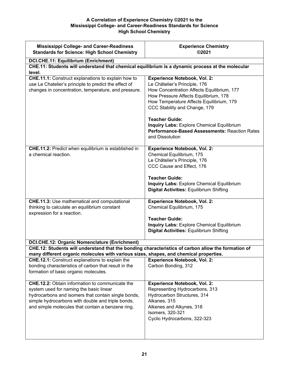| <b>Mississippi College- and Career-Readiness</b><br><b>Standards for Science: High School Chemistry</b>                                                                                                                                                            | <b>Experience Chemistry</b><br>©2021                                                                                                                                                                                                                                                                                                                                                       |
|--------------------------------------------------------------------------------------------------------------------------------------------------------------------------------------------------------------------------------------------------------------------|--------------------------------------------------------------------------------------------------------------------------------------------------------------------------------------------------------------------------------------------------------------------------------------------------------------------------------------------------------------------------------------------|
| <b>DCI.CHE.11: Equilibrium (Enrichment)</b><br>CHE.11: Students will understand that chemical equilibrium is a dynamic process at the molecular                                                                                                                    |                                                                                                                                                                                                                                                                                                                                                                                            |
| level.<br><b>CHE.11.1:</b> Construct explanations to explain how to<br>use Le Chatelier's principle to predict the effect of<br>changes in concentration, temperature, and pressure.                                                                               | <b>Experience Notebook, Vol. 2:</b><br>Le Châtelier's Principle, 176<br>How Concentration Affects Equilibrium, 177<br>How Pressure Affects Equilibrium, 178<br>How Temperature Affects Equilibrium, 179<br>CCC Stability and Change, 179<br><b>Teacher Guide:</b><br>Inquiry Labs: Explore Chemical Equilibrium<br><b>Performance-Based Assessments: Reaction Rates</b><br>and Dissolution |
| <b>CHE.11.2:</b> Predict when equilibrium is established in<br>a chemical reaction.                                                                                                                                                                                | <b>Experience Notebook, Vol. 2:</b><br>Chemical Equilibrium, 175<br>Le Châtelier's Principle, 176<br>CCC Cause and Effect, 176<br><b>Teacher Guide:</b><br><b>Inquiry Labs: Explore Chemical Equilibrium</b><br><b>Digital Activities: Equilibrium Shifting</b>                                                                                                                            |
| <b>CHE.11.3:</b> Use mathematical and computational<br>thinking to calculate an equilibrium constant<br>expression for a reaction.                                                                                                                                 | <b>Experience Notebook, Vol. 2:</b><br>Chemical Equilibrium, 175<br><b>Teacher Guide:</b><br><b>Inquiry Labs: Explore Chemical Equilibrium</b><br><b>Digital Activities: Equilibrium Shifting</b>                                                                                                                                                                                          |
| <b>DCI.CHE.12: Organic Nomenclature (Enrichment)</b><br>CHE.12: Students will understand that the bonding characteristics of carbon allow the formation of                                                                                                         |                                                                                                                                                                                                                                                                                                                                                                                            |
| many different organic molecules with various sizes, shapes, and chemical properties.<br>CHE.12.1: Construct explanations to explain the                                                                                                                           | <b>Experience Notebook, Vol. 2:</b>                                                                                                                                                                                                                                                                                                                                                        |
| bonding characteristics of carbon that result in the<br>formation of basic organic molecules.                                                                                                                                                                      | Carbon Bonding, 312                                                                                                                                                                                                                                                                                                                                                                        |
| <b>CHE.12.2:</b> Obtain information to communicate the<br>system used for naming the basic linear<br>hydrocarbons and isomers that contain single bonds,<br>simple hydrocarbons with double and triple bonds,<br>and simple molecules that contain a benzene ring. | <b>Experience Notebook, Vol. 2:</b><br>Representing Hydrocarbons, 313<br>Hydrocarbon Structures, 314<br>Alkanes, 315<br>Alkenes and Alkynes, 318<br>Isomers, 320-321<br>Cyclic Hydrocarbons, 322-323                                                                                                                                                                                       |